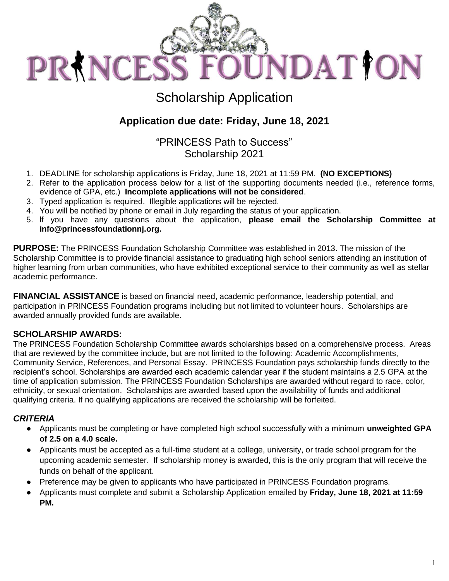

# **Scholarship Application**

## Application due date: Friday, June 18, 2021

"PRINCESS Path to Success" Scholarship 2021

- 1. DEADLINE for scholarship applications is Friday, June 18, 2021 at 11:59 PM. (NO EXCEPTIONS)
- 2. Refer to the application process below for a list of the supporting documents needed (i.e., reference forms, evidence of GPA, etc.) Incomplete applications will not be considered.
- 3. Typed application is required. Illegible applications will be rejected.
- 4. You will be notified by phone or email in July regarding the status of your application.
- 5. If you have any questions about the application, please email the Scholarship Committee at info@princessfoundationnj.org.

**PURPOSE:** The PRINCESS Foundation Scholarship Committee was established in 2013. The mission of the Scholarship Committee is to provide financial assistance to graduating high school seniors attending an institution of higher learning from urban communities, who have exhibited exceptional service to their community as well as stellar academic performance.

**FINANCIAL ASSISTANCE** is based on financial need, academic performance, leadership potential, and participation in PRINCESS Foundation programs including but not limited to volunteer hours. Scholarships are awarded annually provided funds are available.

#### **SCHOLARSHIP AWARDS:**

The PRINCESS Foundation Scholarship Committee awards scholarships based on a comprehensive process. Areas that are reviewed by the committee include, but are not limited to the following: Academic Accomplishments, Community Service, References, and Personal Essay. PRINCESS Foundation pays scholarship funds directly to the recipient's school. Scholarships are awarded each academic calendar year if the student maintains a 2.5 GPA at the time of application submission. The PRINCESS Foundation Scholarships are awarded without regard to race, color, ethnicity, or sexual orientation. Scholarships are awarded based upon the availability of funds and additional qualifying criteria. If no qualifying applications are received the scholarship will be forfeited.

#### **CRITERIA**

- Applicants must be completing or have completed high school successfully with a minimum unweighted GPA of 2.5 on a 4.0 scale.
- Applicants must be accepted as a full-time student at a college, university, or trade school program for the upcoming academic semester. If scholarship money is awarded, this is the only program that will receive the funds on behalf of the applicant.
- Preference may be given to applicants who have participated in PRINCESS Foundation programs.
- Applicants must complete and submit a Scholarship Application emailed by Friday, June 18, 2021 at 11:59  $\bullet$ PM.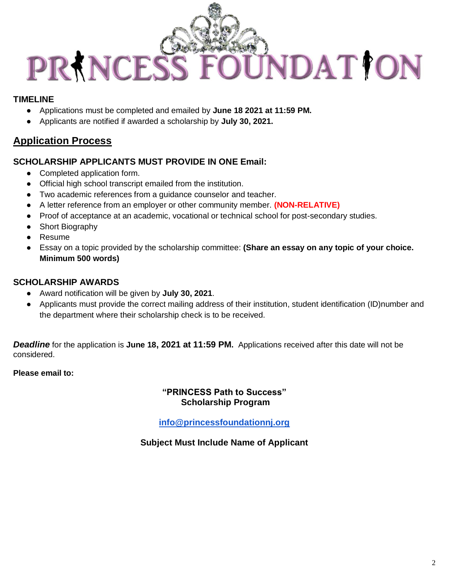

### **TIMEI INF**

- Applications must be completed and emailed by June 18 2021 at 11:59 PM.  $\bullet$
- Applicants are notified if awarded a scholarship by July 30, 2021.  $\bullet$

### **Application Process**

#### **SCHOLARSHIP APPLICANTS MUST PROVIDE IN ONE Email:**

- Completed application form.
- Official high school transcript emailed from the institution.
- Two academic references from a quidance counselor and teacher.
- A letter reference from an employer or other community member. (NON-RELATIVE)
- Proof of acceptance at an academic, vocational or technical school for post-secondary studies.  $\bullet$
- Short Biography  $\bullet$
- Resume
- Essay on a topic provided by the scholarship committee: (Share an essay on any topic of your choice. Minimum 500 words)

#### **SCHOLARSHIP AWARDS**

- Award notification will be given by July 30, 2021.
- Applicants must provide the correct mailing address of their institution, student identification (ID)number and the department where their scholarship check is to be received.

**Deadline** for the application is June 18, 2021 at 11:59 PM. Applications received after this date will not be considered.

#### Please email to:

#### "PRINCESS Path to Success" **Scholarship Program**

info@princessfoundationnj.org

#### **Subject Must Include Name of Applicant**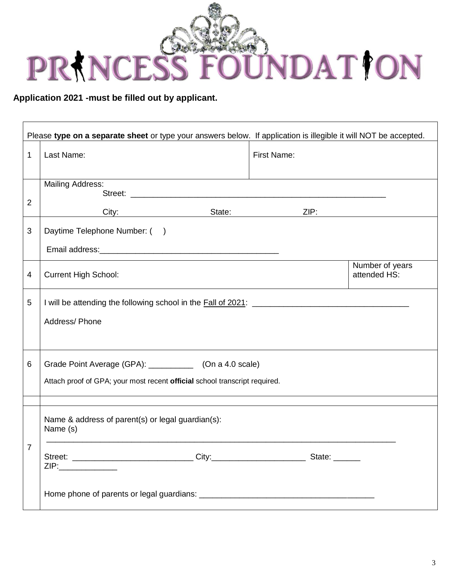

Application 2021 -must be filled out by applicant.

| Please type on a separate sheet or type your answers below. If application is illegible it will NOT be accepted. |                                                                                                                                                                                                                                                                                  |                          |                                                                                                                |                                 |  |  |
|------------------------------------------------------------------------------------------------------------------|----------------------------------------------------------------------------------------------------------------------------------------------------------------------------------------------------------------------------------------------------------------------------------|--------------------------|----------------------------------------------------------------------------------------------------------------|---------------------------------|--|--|
| $\mathbf{1}$                                                                                                     | Last Name:                                                                                                                                                                                                                                                                       | First Name:              |                                                                                                                |                                 |  |  |
| $\overline{2}$                                                                                                   | <b>Mailing Address:</b><br>Street: www.astronomia.com/www.astronomia.com/www.astronomia.com/www.astronomia.com/www.astronomia.com/www.astronomia.com/www.astronomia.com/www.astronomia.com/www.astronomia.com/www.astronomia.com/www.astronomia.com/www.a<br>City: 2008.000 2012 | State: <u>__________</u> | ZIP: Andrea Maria Maria Maria Maria Maria Maria Maria Maria Maria Maria Maria Maria Maria Maria Maria Maria Ma |                                 |  |  |
| 3                                                                                                                | Daytime Telephone Number: ()<br>Email address: Maria Contractor Contractor Contractor Contractor Contractor Contractor Contractor Contractor Contractor Contractor Contractor Contractor Contractor Contractor Contractor Contractor Contractor Contractor Con                   |                          |                                                                                                                |                                 |  |  |
| $\overline{4}$                                                                                                   | <b>Current High School:</b>                                                                                                                                                                                                                                                      |                          |                                                                                                                | Number of years<br>attended HS: |  |  |
| 5                                                                                                                | Address/Phone                                                                                                                                                                                                                                                                    |                          |                                                                                                                |                                 |  |  |
| 6                                                                                                                | Grade Point Average (GPA): ____________ (On a 4.0 scale)<br>Attach proof of GPA; your most recent official school transcript required.                                                                                                                                           |                          |                                                                                                                |                                 |  |  |
|                                                                                                                  | Name & address of parent(s) or legal guardian(s):<br>Name (s)                                                                                                                                                                                                                    |                          |                                                                                                                |                                 |  |  |
| $\overline{7}$                                                                                                   | ZIP:______________                                                                                                                                                                                                                                                               |                          |                                                                                                                |                                 |  |  |
|                                                                                                                  |                                                                                                                                                                                                                                                                                  |                          |                                                                                                                |                                 |  |  |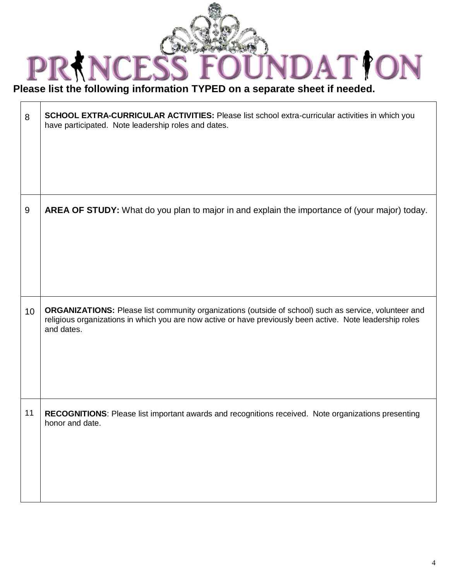

Please list the following information TYPED on a separate sheet if needed.  $\overline{\phantom{0}}$ 

| 8  | SCHOOL EXTRA-CURRICULAR ACTIVITIES: Please list school extra-curricular activities in which you<br>have participated. Note leadership roles and dates.                                                                           |
|----|----------------------------------------------------------------------------------------------------------------------------------------------------------------------------------------------------------------------------------|
| 9  | AREA OF STUDY: What do you plan to major in and explain the importance of (your major) today.                                                                                                                                    |
| 10 | ORGANIZATIONS: Please list community organizations (outside of school) such as service, volunteer and<br>religious organizations in which you are now active or have previously been active. Note leadership roles<br>and dates. |
| 11 | RECOGNITIONS: Please list important awards and recognitions received. Note organizations presenting<br>honor and date.                                                                                                           |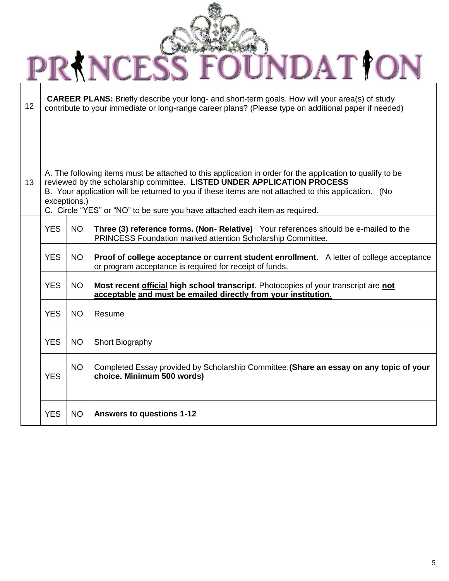| <b>JUNDAT YON</b><br>CES!<br>PRIN |                                                                                                                                                                                                                                                                                                              |           |                                                                                                                                                             |  |  |  |  |
|-----------------------------------|--------------------------------------------------------------------------------------------------------------------------------------------------------------------------------------------------------------------------------------------------------------------------------------------------------------|-----------|-------------------------------------------------------------------------------------------------------------------------------------------------------------|--|--|--|--|
| 12                                | <b>CAREER PLANS:</b> Briefly describe your long- and short-term goals. How will your area(s) of study<br>contribute to your immediate or long-range career plans? (Please type on additional paper if needed)                                                                                                |           |                                                                                                                                                             |  |  |  |  |
|                                   |                                                                                                                                                                                                                                                                                                              |           |                                                                                                                                                             |  |  |  |  |
|                                   |                                                                                                                                                                                                                                                                                                              |           |                                                                                                                                                             |  |  |  |  |
| 13                                | A. The following items must be attached to this application in order for the application to qualify to be<br>reviewed by the scholarship committee. LISTED UNDER APPLICATION PROCESS<br>B. Your application will be returned to you if these items are not attached to this application. (No<br>exceptions.) |           |                                                                                                                                                             |  |  |  |  |
|                                   |                                                                                                                                                                                                                                                                                                              |           | C. Circle "YES" or "NO" to be sure you have attached each item as required.                                                                                 |  |  |  |  |
|                                   | <b>YES</b>                                                                                                                                                                                                                                                                                                   | <b>NO</b> | Three (3) reference forms. (Non-Relative) Your references should be e-mailed to the<br>PRINCESS Foundation marked attention Scholarship Committee.          |  |  |  |  |
|                                   | <b>YES</b>                                                                                                                                                                                                                                                                                                   | <b>NO</b> | <b>Proof of college acceptance or current student enrollment.</b> A letter of college acceptance<br>or program acceptance is required for receipt of funds. |  |  |  |  |
|                                   | <b>YES</b>                                                                                                                                                                                                                                                                                                   | <b>NO</b> | Most recent official high school transcript. Photocopies of your transcript are not<br>acceptable and must be emailed directly from your institution.       |  |  |  |  |
|                                   | <b>YES</b>                                                                                                                                                                                                                                                                                                   | <b>NO</b> | Resume                                                                                                                                                      |  |  |  |  |
|                                   | <b>YES</b>                                                                                                                                                                                                                                                                                                   | <b>NO</b> | Short Biography                                                                                                                                             |  |  |  |  |
|                                   | <b>YES</b>                                                                                                                                                                                                                                                                                                   | <b>NO</b> | Completed Essay provided by Scholarship Committee: (Share an essay on any topic of your<br>choice. Minimum 500 words)                                       |  |  |  |  |
|                                   | <b>YES</b>                                                                                                                                                                                                                                                                                                   | <b>NO</b> | <b>Answers to questions 1-12</b>                                                                                                                            |  |  |  |  |

 $\sim$